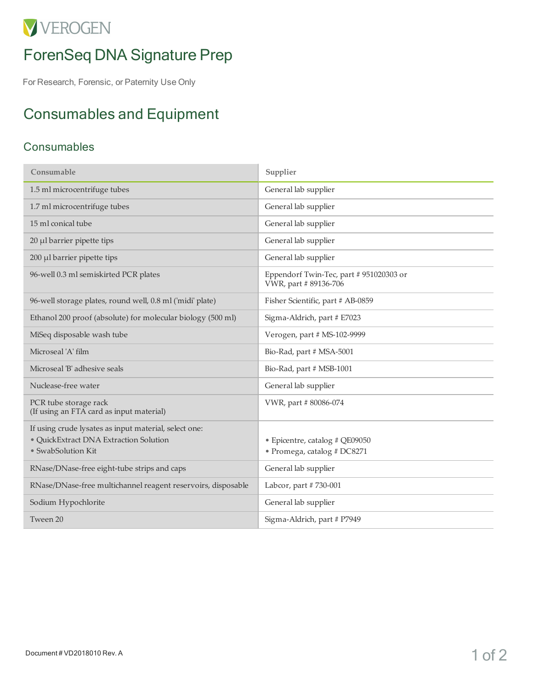# VVEROGEN

## ForenSeq DNA Signature Prep

For Research, Forensic, or Paternity Use Only

## Consumables and Equipment

#### **Consumables**

| Consumable                                                                                                            | Supplier                                                         |
|-----------------------------------------------------------------------------------------------------------------------|------------------------------------------------------------------|
| 1.5 ml microcentrifuge tubes                                                                                          | General lab supplier                                             |
| 1.7 ml microcentrifuge tubes                                                                                          | General lab supplier                                             |
| 15 ml conical tube                                                                                                    | General lab supplier                                             |
| 20 µl barrier pipette tips                                                                                            | General lab supplier                                             |
| 200 µl barrier pipette tips                                                                                           | General lab supplier                                             |
| 96-well 0.3 ml semiskirted PCR plates                                                                                 | Eppendorf Twin-Tec, part # 951020303 or<br>VWR, part # 89136-706 |
| 96-well storage plates, round well, 0.8 ml ('midi' plate)                                                             | Fisher Scientific, part # AB-0859                                |
| Ethanol 200 proof (absolute) for molecular biology (500 ml)                                                           | Sigma-Aldrich, part # E7023                                      |
| MiSeq disposable wash tube                                                                                            | Verogen, part # MS-102-9999                                      |
| Microseal 'A' film                                                                                                    | Bio-Rad, part # MSA-5001                                         |
| Microseal 'B' adhesive seals                                                                                          | Bio-Rad, part # MSB-1001                                         |
| Nuclease-free water                                                                                                   | General lab supplier                                             |
| PCR tube storage rack<br>(If using an FTA card as input material)                                                     | VWR, part #80086-074                                             |
| If using crude lysates as input material, select one:<br>· QuickExtract DNA Extraction Solution<br>• SwabSolution Kit | · Epicentre, catalog # QE09050<br>• Promega, catalog # DC8271    |
| RNase/DNase-free eight-tube strips and caps                                                                           | General lab supplier                                             |
| RNase/DNase-free multichannel reagent reservoirs, disposable                                                          | Labcor, part #730-001                                            |
| Sodium Hypochlorite                                                                                                   | General lab supplier                                             |
| Tween 20                                                                                                              | Sigma-Aldrich, part # P7949                                      |